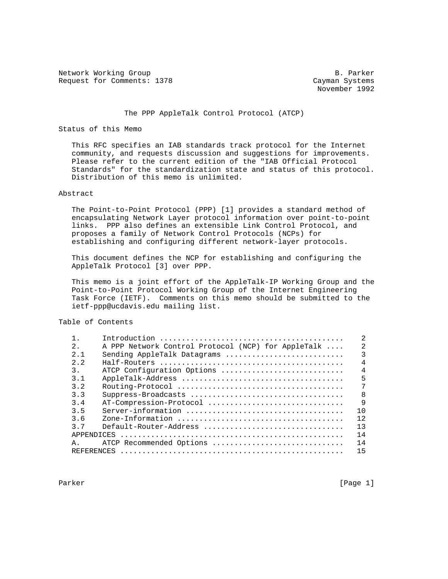Network Working Group B. Parker Request for Comments: 1378 Cayman Systems

November 1992

# The PPP AppleTalk Control Protocol (ATCP)

# Status of this Memo

 This RFC specifies an IAB standards track protocol for the Internet community, and requests discussion and suggestions for improvements. Please refer to the current edition of the "IAB Official Protocol Standards" for the standardization state and status of this protocol. Distribution of this memo is unlimited.

## Abstract

 The Point-to-Point Protocol (PPP) [1] provides a standard method of encapsulating Network Layer protocol information over point-to-point links. PPP also defines an extensible Link Control Protocol, and proposes a family of Network Control Protocols (NCPs) for establishing and configuring different network-layer protocols.

 This document defines the NCP for establishing and configuring the AppleTalk Protocol [3] over PPP.

 This memo is a joint effort of the AppleTalk-IP Working Group and the Point-to-Point Protocol Working Group of the Internet Engineering Task Force (IETF). Comments on this memo should be submitted to the ietf-ppp@ucdavis.edu mailing list.

# Table of Contents

| $2$ .             | A PPP Network Control Protocol (NCP) for AppleTalk | 2              |
|-------------------|----------------------------------------------------|----------------|
| 2.1               | Sending AppleTalk Datagrams                        | ζ              |
| 2.2               |                                                    | 4              |
| 3.                | ATCP Configuration Options                         | $\overline{4}$ |
| 3.1               |                                                    | 5              |
| 3.2               |                                                    | 7              |
| 3.3               |                                                    | $\mathsf{R}$   |
| 3.4               | AT-Compression-Protocol                            | $\mathsf{Q}$   |
| 3.5               |                                                    | 10             |
| 3.6               |                                                    | 12.            |
| 37                | Default-Router-Address                             | 13             |
| <b>APPENDICES</b> |                                                    | 14             |
| Α.                | ATCP Recommended Options                           | 14             |
| REFERENCES        |                                                    | 15             |
|                   |                                                    |                |

Parker [Page 1] Parker [Page 1] Parker [Page 1] Page 1] Page 11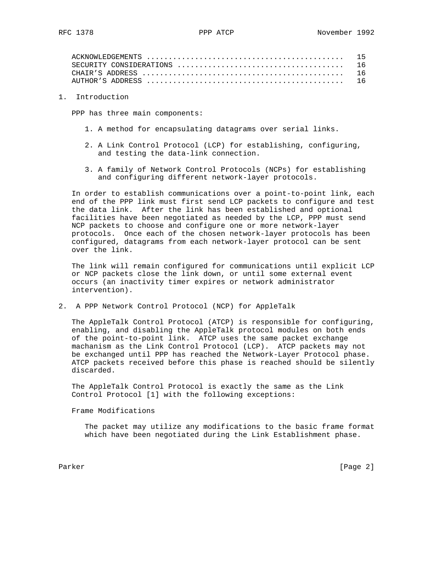1. Introduction

PPP has three main components:

- 1. A method for encapsulating datagrams over serial links.
- 2. A Link Control Protocol (LCP) for establishing, configuring, and testing the data-link connection.
- 3. A family of Network Control Protocols (NCPs) for establishing and configuring different network-layer protocols.

 In order to establish communications over a point-to-point link, each end of the PPP link must first send LCP packets to configure and test the data link. After the link has been established and optional facilities have been negotiated as needed by the LCP, PPP must send NCP packets to choose and configure one or more network-layer protocols. Once each of the chosen network-layer protocols has been configured, datagrams from each network-layer protocol can be sent over the link.

 The link will remain configured for communications until explicit LCP or NCP packets close the link down, or until some external event occurs (an inactivity timer expires or network administrator intervention).

2. A PPP Network Control Protocol (NCP) for AppleTalk

 The AppleTalk Control Protocol (ATCP) is responsible for configuring, enabling, and disabling the AppleTalk protocol modules on both ends of the point-to-point link. ATCP uses the same packet exchange machanism as the Link Control Protocol (LCP). ATCP packets may not be exchanged until PPP has reached the Network-Layer Protocol phase. ATCP packets received before this phase is reached should be silently discarded.

 The AppleTalk Control Protocol is exactly the same as the Link Control Protocol [1] with the following exceptions:

Frame Modifications

 The packet may utilize any modifications to the basic frame format which have been negotiated during the Link Establishment phase.

Parker [Page 2]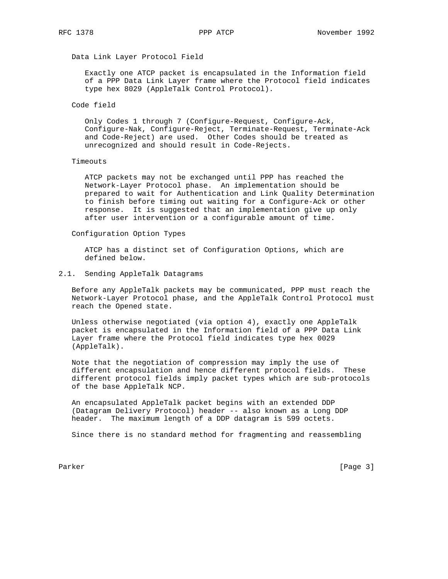# Data Link Layer Protocol Field

 Exactly one ATCP packet is encapsulated in the Information field of a PPP Data Link Layer frame where the Protocol field indicates type hex 8029 (AppleTalk Control Protocol).

### Code field

 Only Codes 1 through 7 (Configure-Request, Configure-Ack, Configure-Nak, Configure-Reject, Terminate-Request, Terminate-Ack and Code-Reject) are used. Other Codes should be treated as unrecognized and should result in Code-Rejects.

#### Timeouts

 ATCP packets may not be exchanged until PPP has reached the Network-Layer Protocol phase. An implementation should be prepared to wait for Authentication and Link Quality Determination to finish before timing out waiting for a Configure-Ack or other response. It is suggested that an implementation give up only after user intervention or a configurable amount of time.

## Configuration Option Types

 ATCP has a distinct set of Configuration Options, which are defined below.

# 2.1. Sending AppleTalk Datagrams

 Before any AppleTalk packets may be communicated, PPP must reach the Network-Layer Protocol phase, and the AppleTalk Control Protocol must reach the Opened state.

 Unless otherwise negotiated (via option 4), exactly one AppleTalk packet is encapsulated in the Information field of a PPP Data Link Layer frame where the Protocol field indicates type hex 0029 (AppleTalk).

 Note that the negotiation of compression may imply the use of different encapsulation and hence different protocol fields. These different protocol fields imply packet types which are sub-protocols of the base AppleTalk NCP.

 An encapsulated AppleTalk packet begins with an extended DDP (Datagram Delivery Protocol) header -- also known as a Long DDP header. The maximum length of a DDP datagram is 599 octets.

Since there is no standard method for fragmenting and reassembling

Parker [Page 3]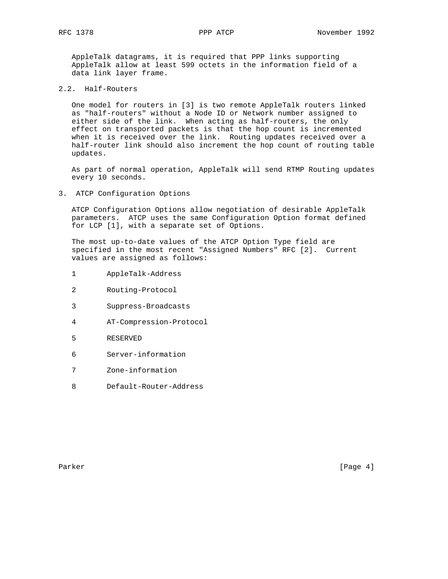AppleTalk datagrams, it is required that PPP links supporting AppleTalk allow at least 599 octets in the information field of a data link layer frame.

2.2. Half-Routers

 One model for routers in [3] is two remote AppleTalk routers linked as "half-routers" without a Node ID or Network number assigned to either side of the link. When acting as half-routers, the only effect on transported packets is that the hop count is incremented when it is received over the link. Routing updates received over a half-router link should also increment the hop count of routing table updates.

 As part of normal operation, AppleTalk will send RTMP Routing updates every 10 seconds.

3. ATCP Configuration Options

 ATCP Configuration Options allow negotiation of desirable AppleTalk parameters. ATCP uses the same Configuration Option format defined for LCP [1], with a separate set of Options.

 The most up-to-date values of the ATCP Option Type field are specified in the most recent "Assigned Numbers" RFC [2]. Current values are assigned as follows:

- 1 AppleTalk-Address
- 2 Routing-Protocol
- 3 Suppress-Broadcasts
- 4 AT-Compression-Protocol
- 5 RESERVED
- 6 Server-information
- 7 Zone-information
- 8 Default-Router-Address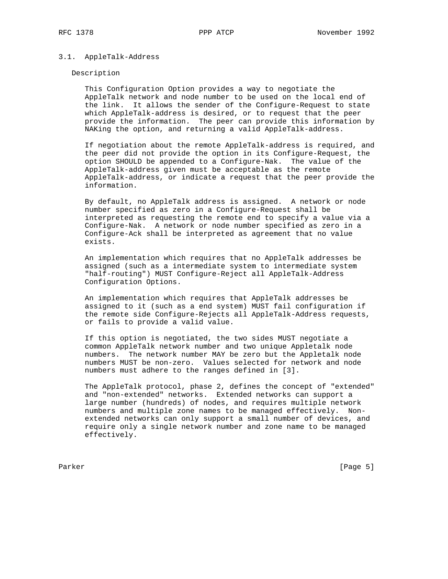### 3.1. AppleTalk-Address

#### Description

 This Configuration Option provides a way to negotiate the AppleTalk network and node number to be used on the local end of the link. It allows the sender of the Configure-Request to state which AppleTalk-address is desired, or to request that the peer provide the information. The peer can provide this information by NAKing the option, and returning a valid AppleTalk-address.

 If negotiation about the remote AppleTalk-address is required, and the peer did not provide the option in its Configure-Request, the option SHOULD be appended to a Configure-Nak. The value of the AppleTalk-address given must be acceptable as the remote AppleTalk-address, or indicate a request that the peer provide the information.

 By default, no AppleTalk address is assigned. A network or node number specified as zero in a Configure-Request shall be interpreted as requesting the remote end to specify a value via a Configure-Nak. A network or node number specified as zero in a Configure-Ack shall be interpreted as agreement that no value exists.

 An implementation which requires that no AppleTalk addresses be assigned (such as a intermediate system to intermediate system "half-routing") MUST Configure-Reject all AppleTalk-Address Configuration Options.

 An implementation which requires that AppleTalk addresses be assigned to it (such as a end system) MUST fail configuration if the remote side Configure-Rejects all AppleTalk-Address requests, or fails to provide a valid value.

 If this option is negotiated, the two sides MUST negotiate a common AppleTalk network number and two unique Appletalk node numbers. The network number MAY be zero but the Appletalk node numbers MUST be non-zero. Values selected for network and node numbers must adhere to the ranges defined in [3].

 The AppleTalk protocol, phase 2, defines the concept of "extended" and "non-extended" networks. Extended networks can support a large number (hundreds) of nodes, and requires multiple network numbers and multiple zone names to be managed effectively. Non extended networks can only support a small number of devices, and require only a single network number and zone name to be managed effectively.

Parker [Page 5]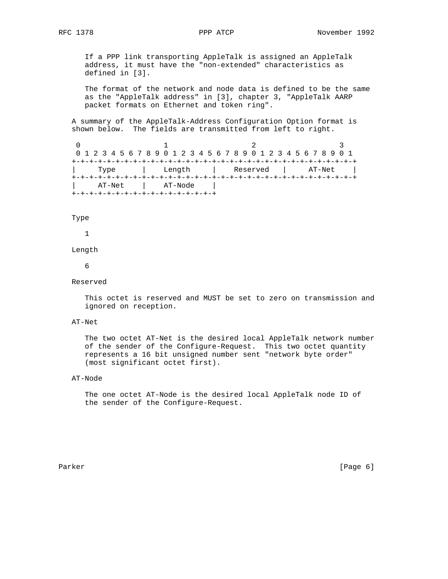If a PPP link transporting AppleTalk is assigned an AppleTalk address, it must have the "non-extended" characteristics as defined in [3].

 The format of the network and node data is defined to be the same as the "AppleTalk address" in [3], chapter 3, "AppleTalk AARP packet formats on Ethernet and token ring".

 A summary of the AppleTalk-Address Configuration Option format is shown below. The fields are transmitted from left to right.

0  $1$  2 3 0 1 2 3 4 5 6 7 8 9 0 1 2 3 4 5 6 7 8 9 0 1 2 3 4 5 6 7 8 9 0 1 +-+-+-+-+-+-+-+-+-+-+-+-+-+-+-+-+-+-+-+-+-+-+-+-+-+-+-+-+-+-+-+-+ | Type | Length | Reserved | AT-Net | +-+-+-+-+-+-+-+-+-+-+-+-+-+-+-+-+-+-+-+-+-+-+-+-+-+-+-+-+-+-+-+-+ AT-Net | AT-Node +-+-+-+-+-+-+-+-+-+-+-+-+-+-+-+-+

### Type

1

#### Length

6

### Reserved

 This octet is reserved and MUST be set to zero on transmission and ignored on reception.

# AT-Net

 The two octet AT-Net is the desired local AppleTalk network number of the sender of the Configure-Request. This two octet quantity represents a 16 bit unsigned number sent "network byte order" (most significant octet first).

# AT-Node

 The one octet AT-Node is the desired local AppleTalk node ID of the sender of the Configure-Request.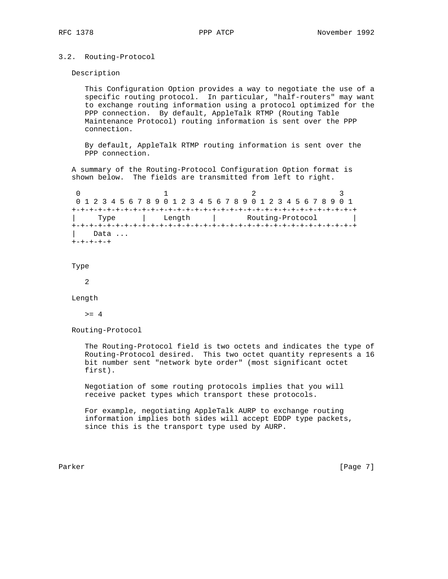# 3.2. Routing-Protocol

Description

 This Configuration Option provides a way to negotiate the use of a specific routing protocol. In particular, "half-routers" may want to exchange routing information using a protocol optimized for the PPP connection. By default, AppleTalk RTMP (Routing Table Maintenance Protocol) routing information is sent over the PPP connection.

 By default, AppleTalk RTMP routing information is sent over the PPP connection.

 A summary of the Routing-Protocol Configuration Option format is shown below. The fields are transmitted from left to right.

| 0 1 2 3 4 5 6 7 8 9 0 1 2 3 4 5 6 7 8 9 0 1 2 3 4 5 6 7 8 9 0 1 |      |  |  |  |  |  |  |  |        |  |  |  |  |  |  |  |                                                         |  |  |  |  |  |  |  |  |  |  |  |  |  |  |  |
|-----------------------------------------------------------------|------|--|--|--|--|--|--|--|--------|--|--|--|--|--|--|--|---------------------------------------------------------|--|--|--|--|--|--|--|--|--|--|--|--|--|--|--|
|                                                                 |      |  |  |  |  |  |  |  |        |  |  |  |  |  |  |  |                                                         |  |  |  |  |  |  |  |  |  |  |  |  |  |  |  |
| Type                                                            |      |  |  |  |  |  |  |  | Length |  |  |  |  |  |  |  | Routing-Protocol<br>and the contract of the contract of |  |  |  |  |  |  |  |  |  |  |  |  |  |  |  |
|                                                                 |      |  |  |  |  |  |  |  |        |  |  |  |  |  |  |  |                                                         |  |  |  |  |  |  |  |  |  |  |  |  |  |  |  |
|                                                                 | Data |  |  |  |  |  |  |  |        |  |  |  |  |  |  |  |                                                         |  |  |  |  |  |  |  |  |  |  |  |  |  |  |  |
|                                                                 |      |  |  |  |  |  |  |  |        |  |  |  |  |  |  |  |                                                         |  |  |  |  |  |  |  |  |  |  |  |  |  |  |  |

#### Type

2

Length

 $>= 4$ 

Routing-Protocol

 The Routing-Protocol field is two octets and indicates the type of Routing-Protocol desired. This two octet quantity represents a 16 bit number sent "network byte order" (most significant octet first).

 Negotiation of some routing protocols implies that you will receive packet types which transport these protocols.

 For example, negotiating AppleTalk AURP to exchange routing information implies both sides will accept EDDP type packets, since this is the transport type used by AURP.

Parker [Page 7]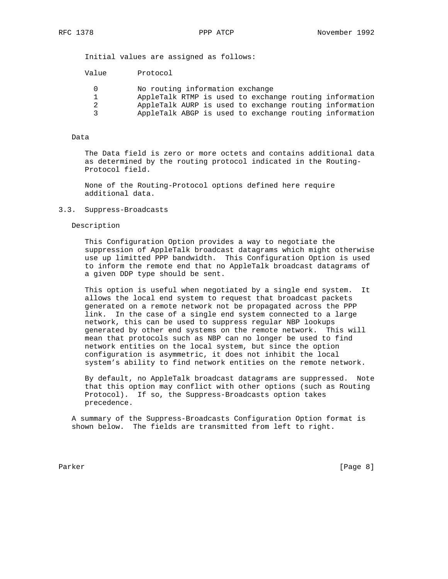Initial values are assigned as follows:

| Value | Protocol                                               |
|-------|--------------------------------------------------------|
|       | No routing information exchange                        |
|       | AppleTalk RTMP is used to exchange routing information |
| 2     | AppleTalk AURP is used to exchange routing information |
| ર     | AppleTalk ABGP is used to exchange routing information |

### Data

 The Data field is zero or more octets and contains additional data as determined by the routing protocol indicated in the Routing- Protocol field.

 None of the Routing-Protocol options defined here require additional data.

### 3.3. Suppress-Broadcasts

Description

 This Configuration Option provides a way to negotiate the suppression of AppleTalk broadcast datagrams which might otherwise use up limitted PPP bandwidth. This Configuration Option is used to inform the remote end that no AppleTalk broadcast datagrams of a given DDP type should be sent.

 This option is useful when negotiated by a single end system. It allows the local end system to request that broadcast packets generated on a remote network not be propagated across the PPP link. In the case of a single end system connected to a large network, this can be used to suppress regular NBP lookups generated by other end systems on the remote network. This will mean that protocols such as NBP can no longer be used to find network entities on the local system, but since the option configuration is asymmetric, it does not inhibit the local system's ability to find network entities on the remote network.

 By default, no AppleTalk broadcast datagrams are suppressed. Note that this option may conflict with other options (such as Routing Protocol). If so, the Suppress-Broadcasts option takes precedence.

 A summary of the Suppress-Broadcasts Configuration Option format is shown below. The fields are transmitted from left to right.

Parker [Page 8]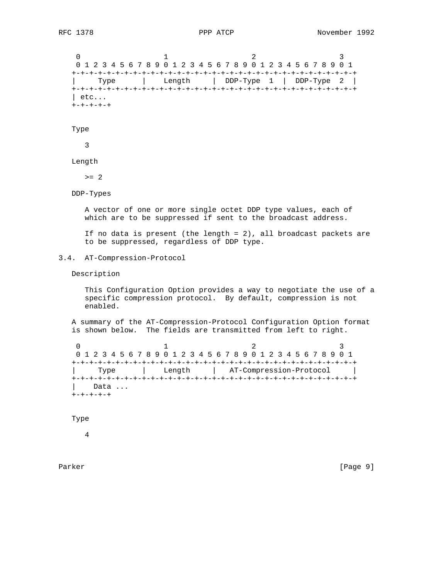0  $1$  2 3 0 1 2 3 4 5 6 7 8 9 0 1 2 3 4 5 6 7 8 9 0 1 2 3 4 5 6 7 8 9 0 1 +-+-+-+-+-+-+-+-+-+-+-+-+-+-+-+-+-+-+-+-+-+-+-+-+-+-+-+-+-+-+-+-+ | Type | Length | DDP-Type 1 | DDP-Type 2 | +-+-+-+-+-+-+-+-+-+-+-+-+-+-+-+-+-+-+-+-+-+-+-+-+-+-+-+-+-+-+-+-+ | etc... +-+-+-+-+

#### Type

3

Length

 $>= 2$ 

DDP-Types

 A vector of one or more single octet DDP type values, each of which are to be suppressed if sent to the broadcast address.

 If no data is present (the length = 2), all broadcast packets are to be suppressed, regardless of DDP type.

# 3.4. AT-Compression-Protocol

Description

 This Configuration Option provides a way to negotiate the use of a specific compression protocol. By default, compression is not enabled.

 A summary of the AT-Compression-Protocol Configuration Option format is shown below. The fields are transmitted from left to right.

0  $1$  2 3 0 1 2 3 4 5 6 7 8 9 0 1 2 3 4 5 6 7 8 9 0 1 2 3 4 5 6 7 8 9 0 1 +-+-+-+-+-+-+-+-+-+-+-+-+-+-+-+-+-+-+-+-+-+-+-+-+-+-+-+-+-+-+-+-+ | Type | Length | AT-Compression-Protocol | +-+-+-+-+-+-+-+-+-+-+-+-+-+-+-+-+-+-+-+-+-+-+-+-+-+-+-+-+-+-+-+-+ Data ... +-+-+-+-+

Type

4

Parker [Page 9]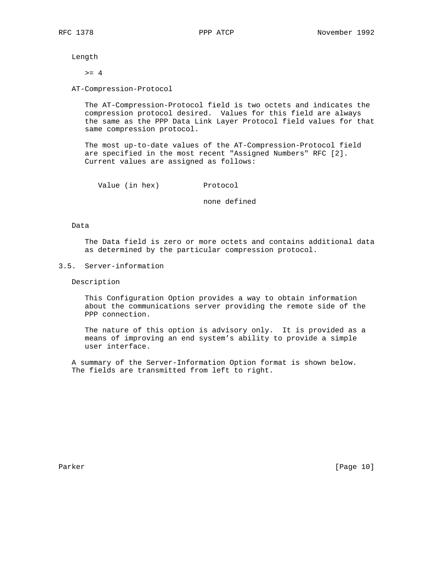Length

 $>= 4$ 

AT-Compression-Protocol

 The AT-Compression-Protocol field is two octets and indicates the compression protocol desired. Values for this field are always the same as the PPP Data Link Layer Protocol field values for that same compression protocol.

 The most up-to-date values of the AT-Compression-Protocol field are specified in the most recent "Assigned Numbers" RFC [2]. Current values are assigned as follows:

Value (in hex) Protocol

none defined

# Data

 The Data field is zero or more octets and contains additional data as determined by the particular compression protocol.

# 3.5. Server-information

Description

 This Configuration Option provides a way to obtain information about the communications server providing the remote side of the PPP connection.

 The nature of this option is advisory only. It is provided as a means of improving an end system's ability to provide a simple user interface.

 A summary of the Server-Information Option format is shown below. The fields are transmitted from left to right.

Parker [Page 10]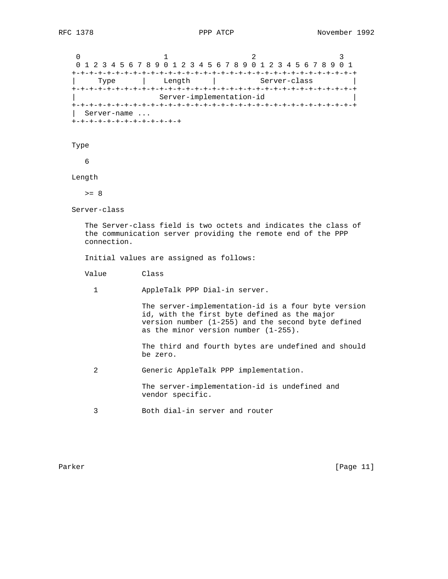0  $1$  2 3 0 1 2 3 4 5 6 7 8 9 0 1 2 3 4 5 6 7 8 9 0 1 2 3 4 5 6 7 8 9 0 1 +-+-+-+-+-+-+-+-+-+-+-+-+-+-+-+-+-+-+-+-+-+-+-+-+-+-+-+-+-+-+-+-+ Type | Length | Server-class +-+-+-+-+-+-+-+-+-+-+-+-+-+-+-+-+-+-+-+-+-+-+-+-+-+-+-+-+-+-+-+-+ Server-implementation-id +-+-+-+-+-+-+-+-+-+-+-+-+-+-+-+-+-+-+-+-+-+-+-+-+-+-+-+-+-+-+-+-+ | Server-name ... +-+-+-+-+-+-+-+-+-+-+-+-+

Type

6

Length

 $>= 8$ 

Server-class

 The Server-class field is two octets and indicates the class of the communication server providing the remote end of the PPP connection.

Initial values are assigned as follows:

Value Class

1 AppleTalk PPP Dial-in server.

 The server-implementation-id is a four byte version id, with the first byte defined as the major version number (1-255) and the second byte defined as the minor version number (1-255).

 The third and fourth bytes are undefined and should be zero.

2 Generic AppleTalk PPP implementation.

 The server-implementation-id is undefined and vendor specific.

3 Both dial-in server and router

Parker [Page 11]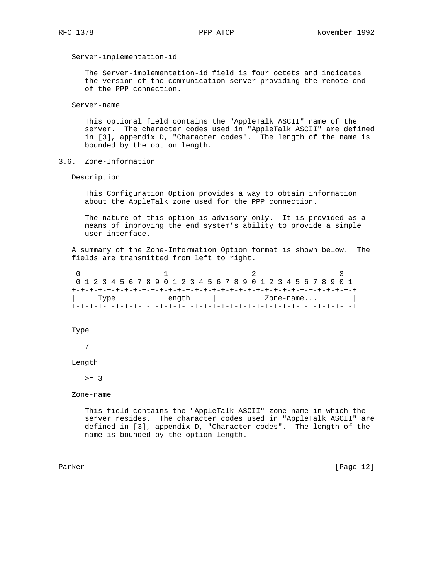Server-implementation-id

 The Server-implementation-id field is four octets and indicates the version of the communication server providing the remote end of the PPP connection.

Server-name

 This optional field contains the "AppleTalk ASCII" name of the server. The character codes used in "AppleTalk ASCII" are defined in [3], appendix D, "Character codes". The length of the name is bounded by the option length.

3.6. Zone-Information

Description

 This Configuration Option provides a way to obtain information about the AppleTalk zone used for the PPP connection.

 The nature of this option is advisory only. It is provided as a means of improving the end system's ability to provide a simple user interface.

 A summary of the Zone-Information Option format is shown below. The fields are transmitted from left to right.

|      |  |  |  |  |  |  |        |  |  |  |  |  |  |  |                          |  |  |  |  |  |  |  |  |  |  | 0 1 2 3 4 5 6 7 8 9 0 1 2 3 4 5 6 7 8 9 0 1 2 3 4 5 6 7 8 9 0 1 |  |  |  |  |  |  |  |  |  |  |  |
|------|--|--|--|--|--|--|--------|--|--|--|--|--|--|--|--------------------------|--|--|--|--|--|--|--|--|--|--|-----------------------------------------------------------------|--|--|--|--|--|--|--|--|--|--|--|
|      |  |  |  |  |  |  |        |  |  |  |  |  |  |  |                          |  |  |  |  |  |  |  |  |  |  |                                                                 |  |  |  |  |  |  |  |  |  |  |  |
| Type |  |  |  |  |  |  | Lenath |  |  |  |  |  |  |  | $\text{Zone-name} \dots$ |  |  |  |  |  |  |  |  |  |  |                                                                 |  |  |  |  |  |  |  |  |  |  |  |
|      |  |  |  |  |  |  |        |  |  |  |  |  |  |  |                          |  |  |  |  |  |  |  |  |  |  |                                                                 |  |  |  |  |  |  |  |  |  |  |  |

Type

7

#### Length

 $>= 3$ 

Zone-name

 This field contains the "AppleTalk ASCII" zone name in which the server resides. The character codes used in "AppleTalk ASCII" are defined in [3], appendix D, "Character codes". The length of the name is bounded by the option length.

Parker [Page 12]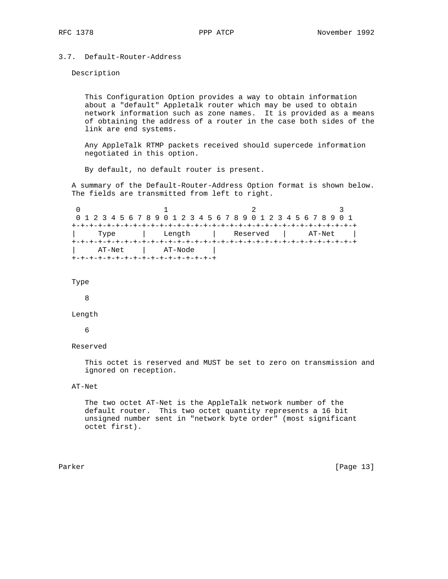# 3.7. Default-Router-Address

Description

 This Configuration Option provides a way to obtain information about a "default" Appletalk router which may be used to obtain network information such as zone names. It is provided as a means of obtaining the address of a router in the case both sides of the link are end systems.

 Any AppleTalk RTMP packets received should supercede information negotiated in this option.

By default, no default router is present.

 A summary of the Default-Router-Address Option format is shown below. The fields are transmitted from left to right.

0  $1$  2 3 0 1 2 3 4 5 6 7 8 9 0 1 2 3 4 5 6 7 8 9 0 1 2 3 4 5 6 7 8 9 0 1 +-+-+-+-+-+-+-+-+-+-+-+-+-+-+-+-+-+-+-+-+-+-+-+-+-+-+-+-+-+-+-+-+ | Type | Length | Reserved | AT-Net | +-+-+-+-+-+-+-+-+-+-+-+-+-+-+-+-+-+-+-+-+-+-+-+-+-+-+-+-+-+-+-+-+ | AT-Net | AT-Node | +-+-+-+-+-+-+-+-+-+-+-+-+-+-+-+-+

```
 Type
```
8

Length

6

Reserved

 This octet is reserved and MUST be set to zero on transmission and ignored on reception.

# AT-Net

 The two octet AT-Net is the AppleTalk network number of the default router. This two octet quantity represents a 16 bit unsigned number sent in "network byte order" (most significant octet first).

Parker [Page 13]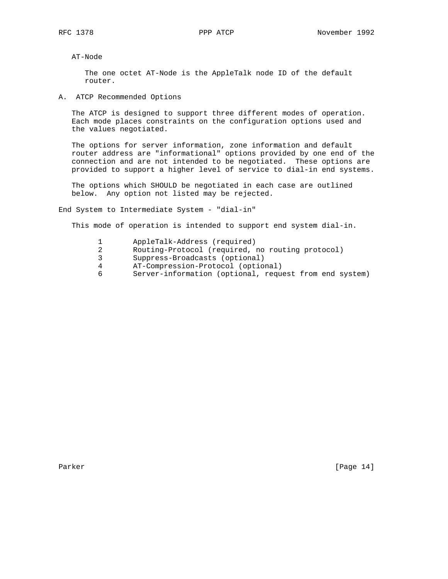AT-Node

 The one octet AT-Node is the AppleTalk node ID of the default router.

A. ATCP Recommended Options

 The ATCP is designed to support three different modes of operation. Each mode places constraints on the configuration options used and the values negotiated.

 The options for server information, zone information and default router address are "informational" options provided by one end of the connection and are not intended to be negotiated. These options are provided to support a higher level of service to dial-in end systems.

 The options which SHOULD be negotiated in each case are outlined below. Any option not listed may be rejected.

End System to Intermediate System - "dial-in"

This mode of operation is intended to support end system dial-in.

- 1 AppleTalk-Address (required)
- 2 Routing-Protocol (required, no routing protocol)
- 3 Suppress-Broadcasts (optional)
- 4 AT-Compression-Protocol (optional)
- 6 Server-information (optional, request from end system)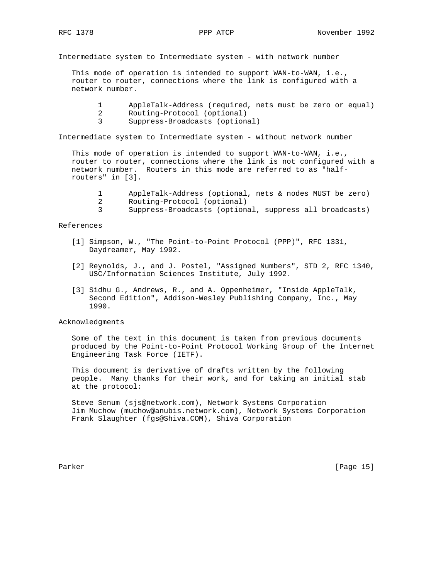Intermediate system to Intermediate system - with network number

 This mode of operation is intended to support WAN-to-WAN, i.e., router to router, connections where the link is configured with a network number.

- 1 AppleTalk-Address (required, nets must be zero or equal)
- 2 Routing-Protocol (optional)
- 3 Suppress-Broadcasts (optional)

Intermediate system to Intermediate system - without network number

 This mode of operation is intended to support WAN-to-WAN, i.e., router to router, connections where the link is not configured with a network number. Routers in this mode are referred to as "half routers" in [3].

- 1 AppleTalk-Address (optional, nets & nodes MUST be zero)
- 2 Routing-Protocol (optional)
- 3 Suppress-Broadcasts (optional, suppress all broadcasts)

# References

- [1] Simpson, W., "The Point-to-Point Protocol (PPP)", RFC 1331, Daydreamer, May 1992.
- [2] Reynolds, J., and J. Postel, "Assigned Numbers", STD 2, RFC 1340, USC/Information Sciences Institute, July 1992.
- [3] Sidhu G., Andrews, R., and A. Oppenheimer, "Inside AppleTalk, Second Edition", Addison-Wesley Publishing Company, Inc., May 1990.

# Acknowledgments

 Some of the text in this document is taken from previous documents produced by the Point-to-Point Protocol Working Group of the Internet Engineering Task Force (IETF).

 This document is derivative of drafts written by the following people. Many thanks for their work, and for taking an initial stab at the protocol:

 Steve Senum (sjs@network.com), Network Systems Corporation Jim Muchow (muchow@anubis.network.com), Network Systems Corporation Frank Slaughter (fgs@Shiva.COM), Shiva Corporation

Parker [Page 15]